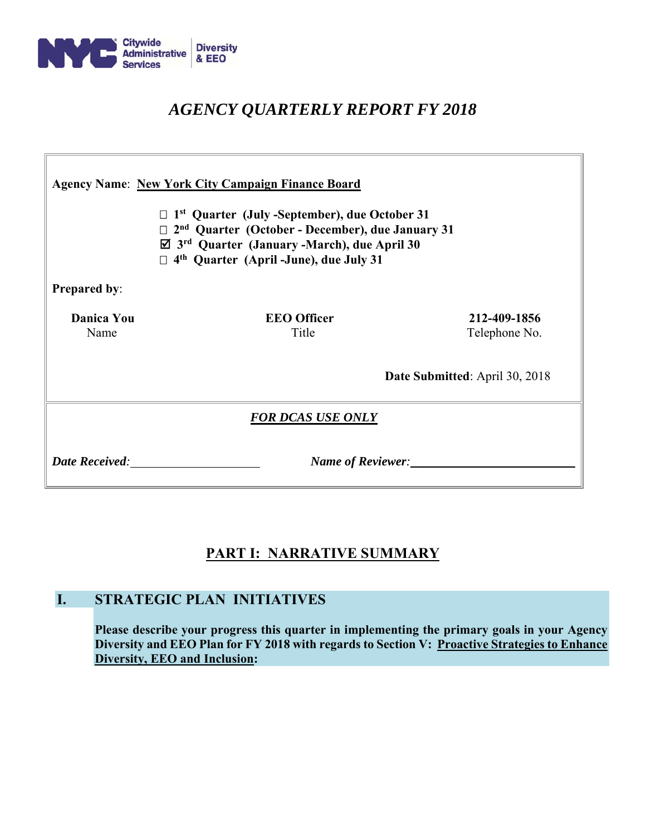

# *AGENCY QUARTERLY REPORT FY 2018*

| <b>Agency Name: New York City Campaign Finance Board</b><br>$\Box$ 1 <sup>st</sup> Quarter (July -September), due October 31<br>$\Box$ 2 <sup>nd</sup> Quarter (October - December), due January 31<br>$\boxtimes$ 3 <sup>rd</sup> Quarter (January -March), due April 30<br>$\Box$ 4 <sup>th</sup> Quarter (April -June), due July 31 |                                       |                               |  |  |  |  |  |
|----------------------------------------------------------------------------------------------------------------------------------------------------------------------------------------------------------------------------------------------------------------------------------------------------------------------------------------|---------------------------------------|-------------------------------|--|--|--|--|--|
| <b>Prepared by:</b>                                                                                                                                                                                                                                                                                                                    |                                       |                               |  |  |  |  |  |
| <b>Danica You</b><br>Name                                                                                                                                                                                                                                                                                                              | <b>EEO</b> Officer<br>Title           | 212-409-1856<br>Telephone No. |  |  |  |  |  |
|                                                                                                                                                                                                                                                                                                                                        | <b>Date Submitted:</b> April 30, 2018 |                               |  |  |  |  |  |
| <b>FOR DCAS USE ONLY</b>                                                                                                                                                                                                                                                                                                               |                                       |                               |  |  |  |  |  |
| <b>Date Received:</b>                                                                                                                                                                                                                                                                                                                  | Name of Reviewer:                     |                               |  |  |  |  |  |

## **PART I: NARRATIVE SUMMARY**

## **I. STRATEGIC PLAN INITIATIVES**

**Please describe your progress this quarter in implementing the primary goals in your Agency Diversity and EEO Plan for FY 2018 with regards to Section V: Proactive Strategies to Enhance Diversity, EEO and Inclusion:**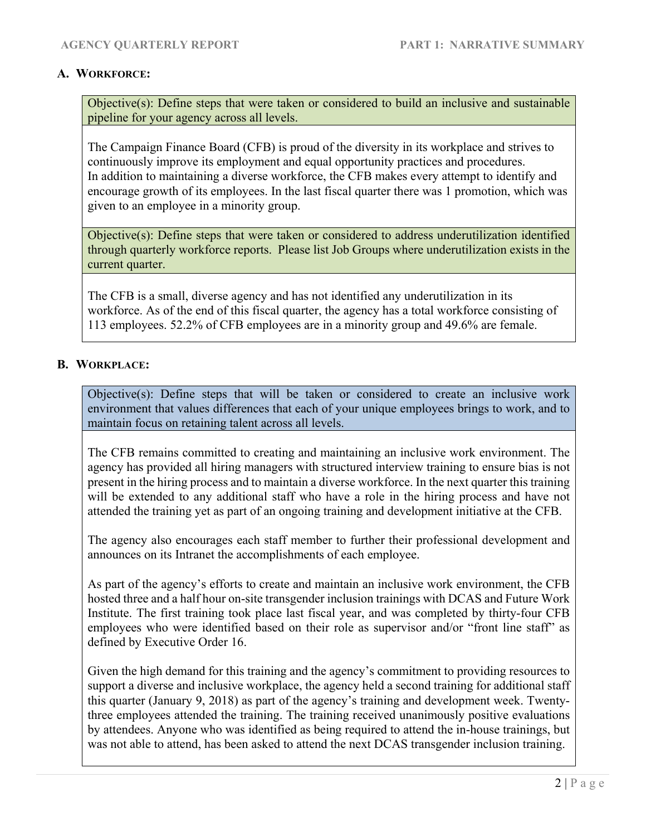## **A. WORKFORCE:**

Objective(s): Define steps that were taken or considered to build an inclusive and sustainable pipeline for your agency across all levels.

The Campaign Finance Board (CFB) is proud of the diversity in its workplace and strives to continuously improve its employment and equal opportunity practices and procedures. In addition to maintaining a diverse workforce, the CFB makes every attempt to identify and encourage growth of its employees. In the last fiscal quarter there was 1 promotion, which was given to an employee in a minority group.

Objective(s): Define steps that were taken or considered to address underutilization identified through quarterly workforce reports. Please list Job Groups where underutilization exists in the current quarter.

The CFB is a small, diverse agency and has not identified any underutilization in its workforce. As of the end of this fiscal quarter, the agency has a total workforce consisting of 113 employees. 52.2% of CFB employees are in a minority group and 49.6% are female.

## **B. WORKPLACE:**

Objective(s): Define steps that will be taken or considered to create an inclusive work environment that values differences that each of your unique employees brings to work, and to maintain focus on retaining talent across all levels.

The CFB remains committed to creating and maintaining an inclusive work environment. The agency has provided all hiring managers with structured interview training to ensure bias is not present in the hiring process and to maintain a diverse workforce. In the next quarter this training will be extended to any additional staff who have a role in the hiring process and have not attended the training yet as part of an ongoing training and development initiative at the CFB.

The agency also encourages each staff member to further their professional development and announces on its Intranet the accomplishments of each employee.

As part of the agency's efforts to create and maintain an inclusive work environment, the CFB hosted three and a half hour on-site transgender inclusion trainings with DCAS and Future Work Institute. The first training took place last fiscal year, and was completed by thirty-four CFB employees who were identified based on their role as supervisor and/or "front line staff" as defined by Executive Order 16.

Given the high demand for this training and the agency's commitment to providing resources to support a diverse and inclusive workplace, the agency held a second training for additional staff this quarter (January 9, 2018) as part of the agency's training and development week. Twentythree employees attended the training. The training received unanimously positive evaluations by attendees. Anyone who was identified as being required to attend the in-house trainings, but was not able to attend, has been asked to attend the next DCAS transgender inclusion training.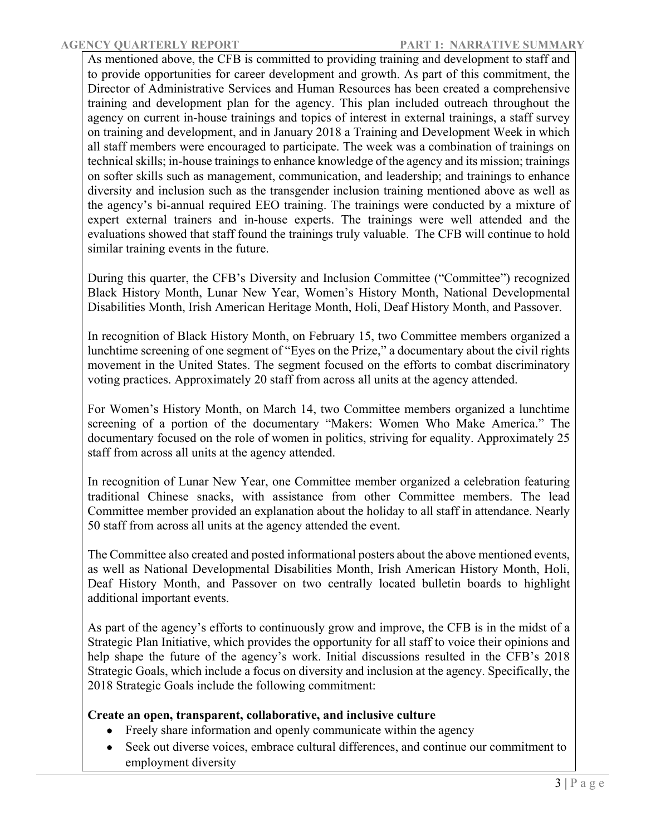As mentioned above, the CFB is committed to providing training and development to staff and to provide opportunities for career development and growth. As part of this commitment, the Director of Administrative Services and Human Resources has been created a comprehensive training and development plan for the agency. This plan included outreach throughout the agency on current in-house trainings and topics of interest in external trainings, a staff survey on training and development, and in January 2018 a Training and Development Week in which all staff members were encouraged to participate. The week was a combination of trainings on technical skills; in-house trainings to enhance knowledge of the agency and its mission; trainings on softer skills such as management, communication, and leadership; and trainings to enhance diversity and inclusion such as the transgender inclusion training mentioned above as well as the agency's bi-annual required EEO training. The trainings were conducted by a mixture of expert external trainers and in-house experts. The trainings were well attended and the evaluations showed that staff found the trainings truly valuable. The CFB will continue to hold similar training events in the future.

During this quarter, the CFB's Diversity and Inclusion Committee ("Committee") recognized Black History Month, Lunar New Year, Women's History Month, National Developmental Disabilities Month, Irish American Heritage Month, Holi, Deaf History Month, and Passover.

In recognition of Black History Month, on February 15, two Committee members organized a lunchtime screening of one segment of "Eyes on the Prize," a documentary about the civil rights movement in the United States. The segment focused on the efforts to combat discriminatory voting practices. Approximately 20 staff from across all units at the agency attended.

For Women's History Month, on March 14, two Committee members organized a lunchtime screening of a portion of the documentary "Makers: Women Who Make America." The documentary focused on the role of women in politics, striving for equality. Approximately 25 staff from across all units at the agency attended.

In recognition of Lunar New Year, one Committee member organized a celebration featuring traditional Chinese snacks, with assistance from other Committee members. The lead Committee member provided an explanation about the holiday to all staff in attendance. Nearly 50 staff from across all units at the agency attended the event.

The Committee also created and posted informational posters about the above mentioned events, as well as National Developmental Disabilities Month, Irish American History Month, Holi, Deaf History Month, and Passover on two centrally located bulletin boards to highlight additional important events.

As part of the agency's efforts to continuously grow and improve, the CFB is in the midst of a Strategic Plan Initiative, which provides the opportunity for all staff to voice their opinions and help shape the future of the agency's work. Initial discussions resulted in the CFB's 2018 Strategic Goals, which include a focus on diversity and inclusion at the agency. Specifically, the 2018 Strategic Goals include the following commitment:

## **Create an open, transparent, collaborative, and inclusive culture**

- Freely share information and openly communicate within the agency
- Seek out diverse voices, embrace cultural differences, and continue our commitment to employment diversity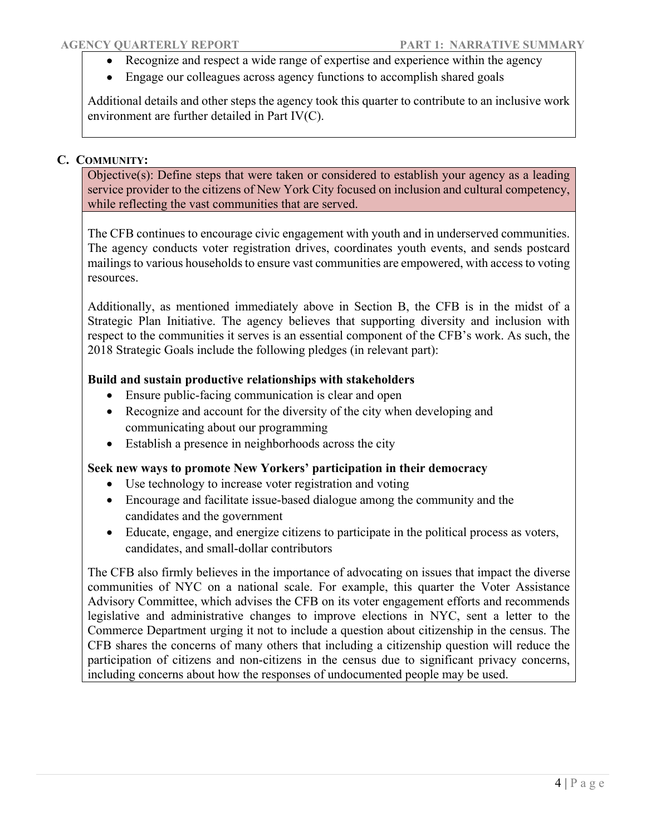- Recognize and respect a wide range of expertise and experience within the agency
- Engage our colleagues across agency functions to accomplish shared goals

Additional details and other steps the agency took this quarter to contribute to an inclusive work environment are further detailed in Part IV(C).

## **C. COMMUNITY:**

Objective(s): Define steps that were taken or considered to establish your agency as a leading service provider to the citizens of New York City focused on inclusion and cultural competency, while reflecting the vast communities that are served.

The CFB continues to encourage civic engagement with youth and in underserved communities. The agency conducts voter registration drives, coordinates youth events, and sends postcard mailings to various households to ensure vast communities are empowered, with access to voting resources.

Additionally, as mentioned immediately above in Section B, the CFB is in the midst of a Strategic Plan Initiative. The agency believes that supporting diversity and inclusion with respect to the communities it serves is an essential component of the CFB's work. As such, the 2018 Strategic Goals include the following pledges (in relevant part):

## **Build and sustain productive relationships with stakeholders**

- Ensure public-facing communication is clear and open
- Recognize and account for the diversity of the city when developing and communicating about our programming
- Establish a presence in neighborhoods across the city

## **Seek new ways to promote New Yorkers' participation in their democracy**

- Use technology to increase voter registration and voting
- Encourage and facilitate issue-based dialogue among the community and the candidates and the government
- Educate, engage, and energize citizens to participate in the political process as voters, candidates, and small-dollar contributors

The CFB also firmly believes in the importance of advocating on issues that impact the diverse communities of NYC on a national scale. For example, this quarter the Voter Assistance Advisory Committee, which advises the CFB on its voter engagement efforts and recommends legislative and administrative changes to improve elections in NYC, sent a letter to the Commerce Department urging it not to include a question about citizenship in the census. The CFB shares the concerns of many others that including a citizenship question will reduce the participation of citizens and non-citizens in the census due to significant privacy concerns, including concerns about how the responses of undocumented people may be used.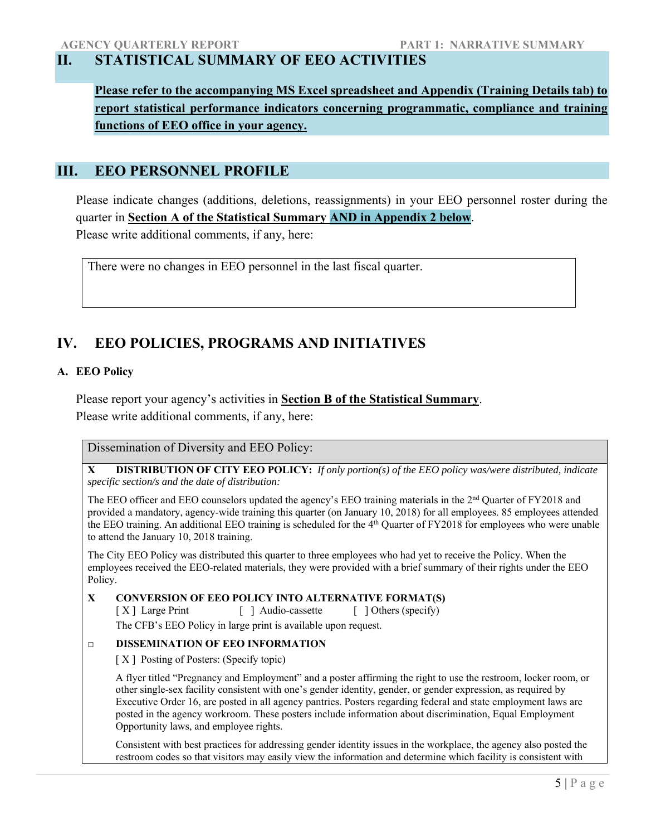## **II. STATISTICAL SUMMARY OF EEO ACTIVITIES**

**Please refer to the accompanying MS Excel spreadsheet and Appendix (Training Details tab) to report statistical performance indicators concerning programmatic, compliance and training functions of EEO office in your agency.** 

## **III. EEO PERSONNEL PROFILE**

Please indicate changes (additions, deletions, reassignments) in your EEO personnel roster during the quarter in **Section A of the Statistical Summary AND in Appendix 2 below**. Please write additional comments, if any, here:

There were no changes in EEO personnel in the last fiscal quarter.

## **IV. EEO POLICIES, PROGRAMS AND INITIATIVES**

## **A. EEO Policy**

Please report your agency's activities in **Section B of the Statistical Summary**. Please write additional comments, if any, here:

Dissemination of Diversity and EEO Policy:

**X DISTRIBUTION OF CITY EEO POLICY:** *If only portion(s) of the EEO policy was/were distributed, indicate specific section/s and the date of distribution:*

The EEO officer and EEO counselors updated the agency's EEO training materials in the 2<sup>nd</sup> Quarter of FY2018 and provided a mandatory, agency-wide training this quarter (on January 10, 2018) for all employees. 85 employees attended the EEO training. An additional EEO training is scheduled for the 4<sup>th</sup> Quarter of FY2018 for employees who were unable to attend the January 10, 2018 training.

The City EEO Policy was distributed this quarter to three employees who had yet to receive the Policy. When the employees received the EEO-related materials, they were provided with a brief summary of their rights under the EEO Policy.

### **X CONVERSION OF EEO POLICY INTO ALTERNATIVE FORMAT(S)**

[ X ] Large Print [ ] Audio-cassette [ ] Others (specify) The CFB's EEO Policy in large print is available upon request.

#### **□ DISSEMINATION OF EEO INFORMATION**

[ $X$ ] Posting of Posters: (Specify topic)

A flyer titled "Pregnancy and Employment" and a poster affirming the right to use the restroom, locker room, or other single-sex facility consistent with one's gender identity, gender, or gender expression, as required by Executive Order 16, are posted in all agency pantries. Posters regarding federal and state employment laws are posted in the agency workroom. These posters include information about discrimination, Equal Employment Opportunity laws, and employee rights.

Consistent with best practices for addressing gender identity issues in the workplace, the agency also posted the restroom codes so that visitors may easily view the information and determine which facility is consistent with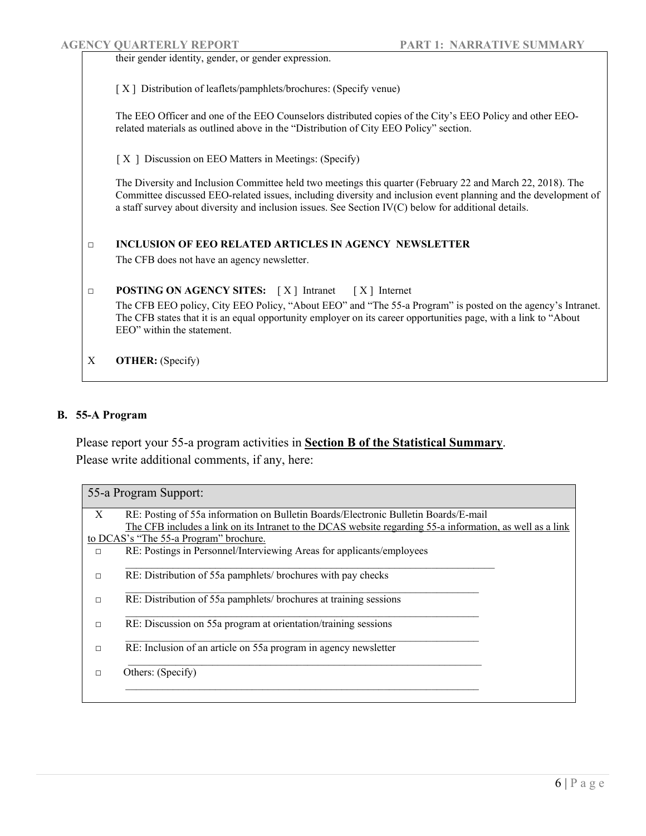|        | <b>AGENCY QUARTERLY REPORT</b>                                                                       | <b>PART 1: NARRATIVE SUMMARY</b>                                                                                                                                                                                               |
|--------|------------------------------------------------------------------------------------------------------|--------------------------------------------------------------------------------------------------------------------------------------------------------------------------------------------------------------------------------|
|        | their gender identity, gender, or gender expression.                                                 |                                                                                                                                                                                                                                |
|        | [X] Distribution of leaflets/pamphlets/brochures: (Specify venue)                                    |                                                                                                                                                                                                                                |
|        | related materials as outlined above in the "Distribution of City EEO Policy" section.                | The EEO Officer and one of the EEO Counselors distributed copies of the City's EEO Policy and other EEO-                                                                                                                       |
|        | [X ] Discussion on EEO Matters in Meetings: (Specify)                                                |                                                                                                                                                                                                                                |
|        | a staff survey about diversity and inclusion issues. See Section IV(C) below for additional details. | The Diversity and Inclusion Committee held two meetings this quarter (February 22 and March 22, 2018). The<br>Committee discussed EEO-related issues, including diversity and inclusion event planning and the development of  |
| $\Box$ | <b>INCLUSION OF EEO RELATED ARTICLES IN AGENCY NEWSLETTER</b>                                        |                                                                                                                                                                                                                                |
|        | The CFB does not have an agency newsletter.                                                          |                                                                                                                                                                                                                                |
| $\Box$ | <b>POSTING ON AGENCY SITES:</b> [X] Intranet [X] Internet                                            |                                                                                                                                                                                                                                |
|        | EEO" within the statement.                                                                           | The CFB EEO policy, City EEO Policy, "About EEO" and "The 55-a Program" is posted on the agency's Intranet.<br>The CFB states that it is an equal opportunity employer on its career opportunities page, with a link to "About |
| X      | <b>OTHER:</b> (Specify)                                                                              |                                                                                                                                                                                                                                |

## **B. 55-A Program**

Please report your 55-a program activities in **Section B of the Statistical Summary**. Please write additional comments, if any, here:

| 55-a Program Support: |                                                                                                           |  |  |  |
|-----------------------|-----------------------------------------------------------------------------------------------------------|--|--|--|
| X                     | RE: Posting of 55a information on Bulletin Boards/Electronic Bulletin Boards/E-mail                       |  |  |  |
|                       | The CFB includes a link on its Intranet to the DCAS website regarding 55-a information, as well as a link |  |  |  |
|                       | to DCAS's "The 55-a Program" brochure.                                                                    |  |  |  |
| $\Box$                | RE: Postings in Personnel/Interviewing Areas for applicants/employees                                     |  |  |  |
|                       |                                                                                                           |  |  |  |
| $\Box$                | RE: Distribution of 55a pamphlets/brochures with pay checks                                               |  |  |  |
|                       |                                                                                                           |  |  |  |
| п                     | RE: Distribution of 55a pamphlets/ brochures at training sessions                                         |  |  |  |
|                       |                                                                                                           |  |  |  |
| $\Box$                | RE: Discussion on 55a program at orientation/training sessions                                            |  |  |  |
|                       |                                                                                                           |  |  |  |
| $\Box$                | RE: Inclusion of an article on 55a program in agency newsletter                                           |  |  |  |
|                       |                                                                                                           |  |  |  |
| п                     | Others: (Specify)                                                                                         |  |  |  |
|                       |                                                                                                           |  |  |  |
|                       |                                                                                                           |  |  |  |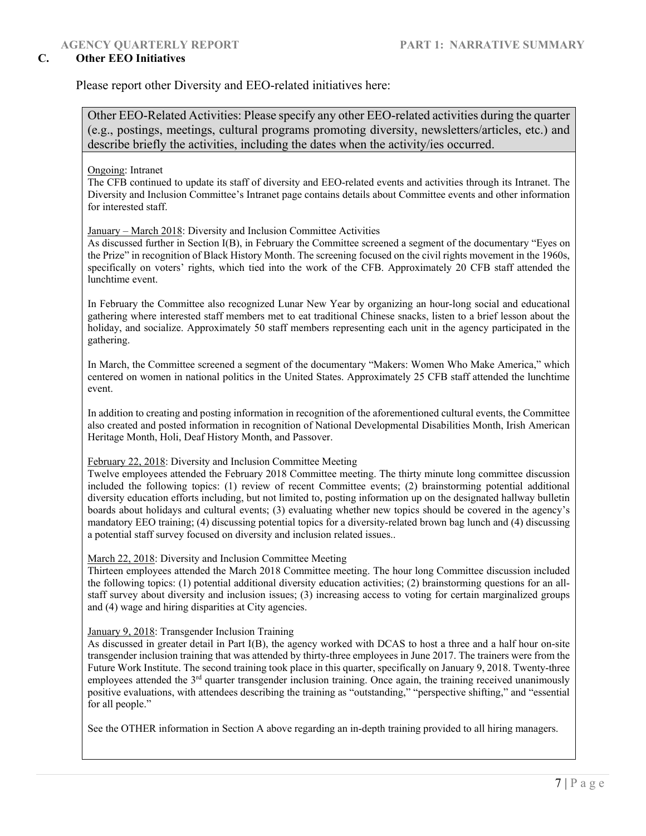#### **C. Other EEO Initiatives**

Please report other Diversity and EEO-related initiatives here:

Other EEO-Related Activities: Please specify any other EEO-related activities during the quarter (e.g., postings, meetings, cultural programs promoting diversity, newsletters/articles, etc.) and describe briefly the activities, including the dates when the activity/ies occurred.

Ongoing: Intranet

The CFB continued to update its staff of diversity and EEO-related events and activities through its Intranet. The Diversity and Inclusion Committee's Intranet page contains details about Committee events and other information for interested staff.

#### January – March 2018: Diversity and Inclusion Committee Activities

As discussed further in Section I(B), in February the Committee screened a segment of the documentary "Eyes on the Prize" in recognition of Black History Month. The screening focused on the civil rights movement in the 1960s, specifically on voters' rights, which tied into the work of the CFB. Approximately 20 CFB staff attended the lunchtime event.

In February the Committee also recognized Lunar New Year by organizing an hour-long social and educational gathering where interested staff members met to eat traditional Chinese snacks, listen to a brief lesson about the holiday, and socialize. Approximately 50 staff members representing each unit in the agency participated in the gathering.

In March, the Committee screened a segment of the documentary "Makers: Women Who Make America," which centered on women in national politics in the United States. Approximately 25 CFB staff attended the lunchtime event.

In addition to creating and posting information in recognition of the aforementioned cultural events, the Committee also created and posted information in recognition of National Developmental Disabilities Month, Irish American Heritage Month, Holi, Deaf History Month, and Passover.

#### February 22, 2018: Diversity and Inclusion Committee Meeting

Twelve employees attended the February 2018 Committee meeting. The thirty minute long committee discussion included the following topics: (1) review of recent Committee events; (2) brainstorming potential additional diversity education efforts including, but not limited to, posting information up on the designated hallway bulletin boards about holidays and cultural events; (3) evaluating whether new topics should be covered in the agency's mandatory EEO training; (4) discussing potential topics for a diversity-related brown bag lunch and (4) discussing a potential staff survey focused on diversity and inclusion related issues..

#### March 22, 2018: Diversity and Inclusion Committee Meeting

Thirteen employees attended the March 2018 Committee meeting. The hour long Committee discussion included the following topics: (1) potential additional diversity education activities; (2) brainstorming questions for an allstaff survey about diversity and inclusion issues; (3) increasing access to voting for certain marginalized groups and (4) wage and hiring disparities at City agencies.

#### January 9, 2018: Transgender Inclusion Training

As discussed in greater detail in Part I(B), the agency worked with DCAS to host a three and a half hour on-site transgender inclusion training that was attended by thirty-three employees in June 2017. The trainers were from the Future Work Institute. The second training took place in this quarter, specifically on January 9, 2018. Twenty-three employees attended the 3<sup>rd</sup> quarter transgender inclusion training. Once again, the training received unanimously positive evaluations, with attendees describing the training as "outstanding," "perspective shifting," and "essential for all people."

See the OTHER information in Section A above regarding an in-depth training provided to all hiring managers.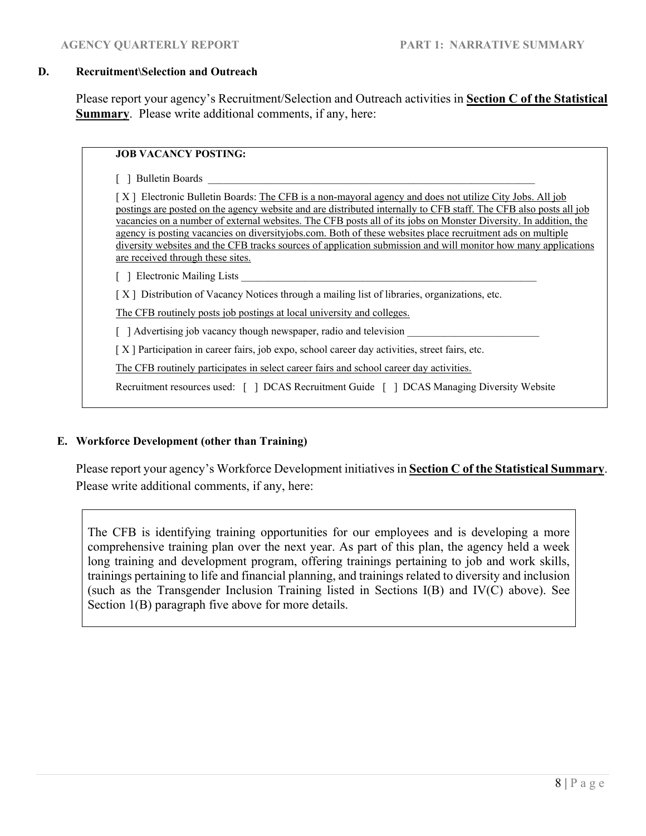#### **D. Recruitment\Selection and Outreach**

Please report your agency's Recruitment/Selection and Outreach activities in **Section C of the Statistical Summary**. Please write additional comments, if any, here:

**JOB VACANCY POSTING:** 

[ ] Bulletin Boards

[X] Electronic Bulletin Boards: The CFB is a non-mayoral agency and does not utilize City Jobs. All job postings are posted on the agency website and are distributed internally to CFB staff. The CFB also posts all job vacancies on a number of external websites. The CFB posts all of its jobs on Monster Diversity. In addition, the agency is posting vacancies on diversityjobs.com. Both of these websites place recruitment ads on multiple diversity websites and the CFB tracks sources of application submission and will monitor how many applications are received through these sites.

 $\lceil \rceil$  Electronic Mailing Lists

[ X ] Distribution of Vacancy Notices through a mailing list of libraries, organizations, etc.

The CFB routinely posts job postings at local university and colleges.

 $\lceil$  ] Advertising job vacancy though newspaper, radio and television

[ X ] Participation in career fairs, job expo, school career day activities, street fairs, etc.

The CFB routinely participates in select career fairs and school career day activities.

Recruitment resources used: [ ] DCAS Recruitment Guide [ ] DCAS Managing Diversity Website

#### **E. Workforce Development (other than Training)**

Please report your agency's Workforce Development initiatives in **Section C of the Statistical Summary**. Please write additional comments, if any, here:

The CFB is identifying training opportunities for our employees and is developing a more comprehensive training plan over the next year. As part of this plan, the agency held a week long training and development program, offering trainings pertaining to job and work skills, trainings pertaining to life and financial planning, and trainings related to diversity and inclusion (such as the Transgender Inclusion Training listed in Sections I(B) and IV(C) above). See Section 1(B) paragraph five above for more details.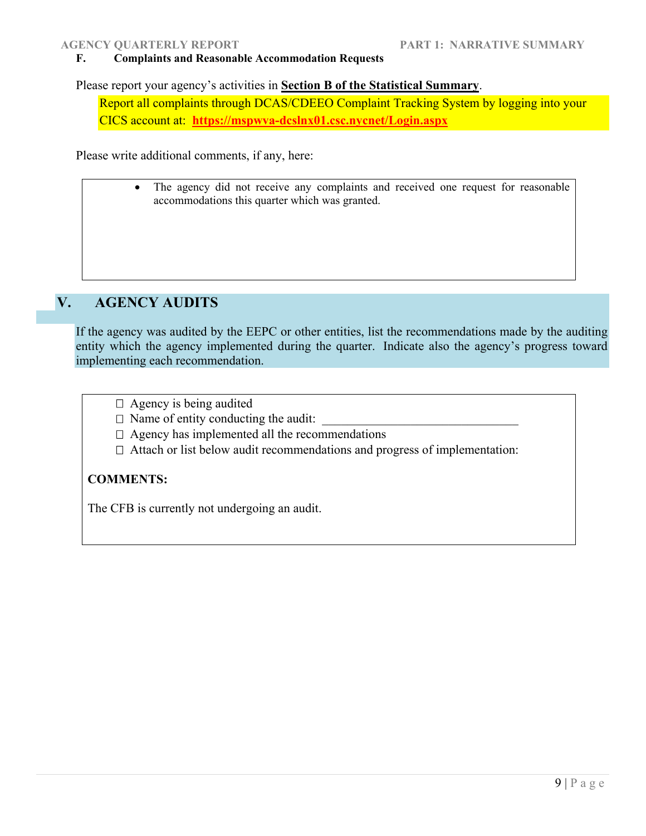#### **F. Complaints and Reasonable Accommodation Requests**

Please report your agency's activities in **Section B of the Statistical Summary**.

Report all complaints through DCAS/CDEEO Complaint Tracking System by logging into your CICS account at: **https://mspwva-dcslnx01.csc.nycnet/Login.aspx**

Please write additional comments, if any, here:

• The agency did not receive any complaints and received one request for reasonable accommodations this quarter which was granted.

## **V. AGENCY AUDITS**

If the agency was audited by the EEPC or other entities, list the recommendations made by the auditing entity which the agency implemented during the quarter. Indicate also the agency's progress toward implementing each recommendation.

- $\Box$  Agency is being audited
- $\Box$  Name of entity conducting the audit:
- $\Box$  Agency has implemented all the recommendations
- $\Box$  Attach or list below audit recommendations and progress of implementation:

## **COMMENTS:**

The CFB is currently not undergoing an audit.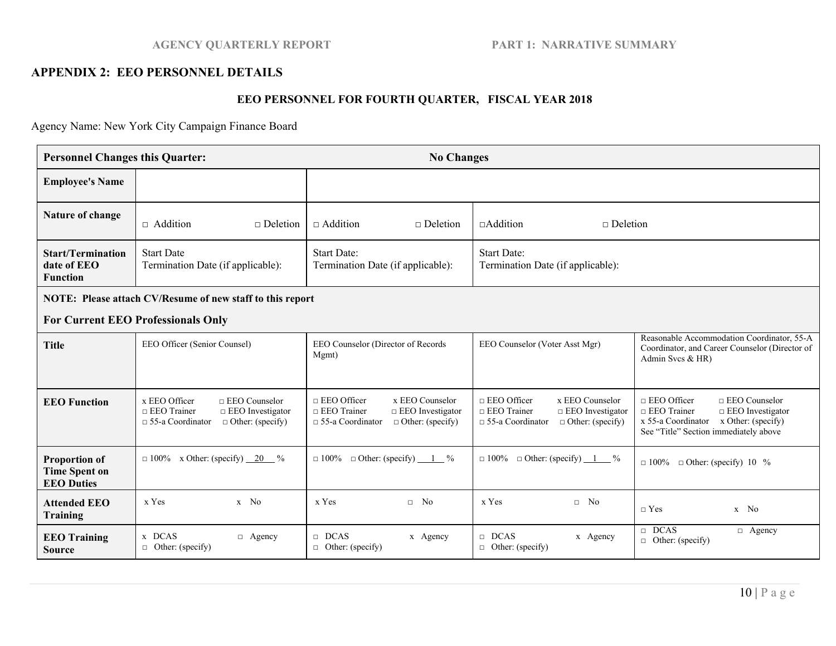### **AGENCY QUARTERLY REPORT PART 1: NARRATIVE SUMMARY**

#### **APPENDIX 2: EEO PERSONNEL DETAILS**

## **EEO PERSONNEL FOR FOURTH QUARTER, FISCAL YEAR 2018**

Agency Name: New York City Campaign Finance Board

| <b>Personnel Changes this Quarter:</b>                            |                                                                                                                                              | <b>No Changes</b>                                                                                                                            |                                                                                                                                              |                                                                                                                                                                                   |  |  |  |
|-------------------------------------------------------------------|----------------------------------------------------------------------------------------------------------------------------------------------|----------------------------------------------------------------------------------------------------------------------------------------------|----------------------------------------------------------------------------------------------------------------------------------------------|-----------------------------------------------------------------------------------------------------------------------------------------------------------------------------------|--|--|--|
| <b>Employee's Name</b>                                            |                                                                                                                                              |                                                                                                                                              |                                                                                                                                              |                                                                                                                                                                                   |  |  |  |
| Nature of change                                                  | $\Box$ Addition<br>$\Box$ Deletion                                                                                                           | $\sqcap$ Addition<br>$\Box$ Deletion                                                                                                         | $\Box$ Addition<br>$\Box$ Deletion                                                                                                           |                                                                                                                                                                                   |  |  |  |
| <b>Start/Termination</b><br>date of EEO<br><b>Function</b>        | <b>Start Date</b><br>Termination Date (if applicable):                                                                                       | <b>Start Date:</b><br>Termination Date (if applicable):                                                                                      | <b>Start Date:</b><br>Termination Date (if applicable):                                                                                      |                                                                                                                                                                                   |  |  |  |
| NOTE: Please attach CV/Resume of new staff to this report         |                                                                                                                                              |                                                                                                                                              |                                                                                                                                              |                                                                                                                                                                                   |  |  |  |
| <b>For Current EEO Professionals Only</b>                         |                                                                                                                                              |                                                                                                                                              |                                                                                                                                              |                                                                                                                                                                                   |  |  |  |
| <b>Title</b>                                                      | EEO Officer (Senior Counsel)                                                                                                                 | EEO Counselor (Director of Records<br>Mgmt)                                                                                                  | EEO Counselor (Voter Asst Mgr)                                                                                                               | Reasonable Accommodation Coordinator, 55-A<br>Coordinator, and Career Counselor (Director of<br>Admin Svcs $&$ HR)                                                                |  |  |  |
| <b>EEO Function</b>                                               | x EEO Officer<br>$\Box$ EEO Counselor<br>$\Box$ EEO Trainer<br>$\Box$ EEO Investigator<br>$\Box$ 55-a Coordinator<br>$\Box$ Other: (specify) | $\Box$ EEO Officer<br>x EEO Counselor<br>$\Box$ EEO Trainer<br>$\Box$ EEO Investigator<br>$\Box$ 55-a Coordinator<br>$\Box$ Other: (specify) | $\Box$ EEO Officer<br>x EEO Counselor<br>$\Box$ EEO Trainer<br>$\Box$ EEO Investigator<br>$\Box$ 55-a Coordinator<br>$\Box$ Other: (specify) | $\Box$ EEO Officer<br>$\Box$ EEO Counselor<br>$\Box$ EEO Trainer<br>$\Box$ EEO Investigator<br>$x 55-a$ Coordinator $x$ Other: (specify)<br>See "Title" Section immediately above |  |  |  |
| <b>Proportion of</b><br><b>Time Spent on</b><br><b>EEO</b> Duties | $\Box$ 100% x Other: (specify) $20\degree$ %                                                                                                 | $\Box$ Other: (specify) $\underline{\qquad 1}$ %<br>$\Box 100\%$                                                                             | $\Box$ 100% $\Box$ Other: (specify) $1 \ \degree$ %                                                                                          | $\Box$ 100% $\Box$ Other: (specify) 10 %                                                                                                                                          |  |  |  |
| <b>Attended EEO</b><br><b>Training</b>                            | x Yes<br>$x$ No                                                                                                                              | x Yes<br>$\Box$ No                                                                                                                           | x Yes<br>$\Box$ No                                                                                                                           | $\sqcap$ Yes<br>$x$ No                                                                                                                                                            |  |  |  |
| <b>EEO Training</b><br><b>Source</b>                              | x DCAS<br>$\Box$ Agency<br>$\Box$ Other: (specify)                                                                                           | $\Box$ DCAS<br>x Agency<br>$\Box$ Other: (specify)                                                                                           | $\Box$ DCAS<br>x Agency<br>$\Box$ Other: (specify)                                                                                           | $\Box$ DCAS<br>$\Box$ Agency<br>$\Box$ Other: (specify)                                                                                                                           |  |  |  |